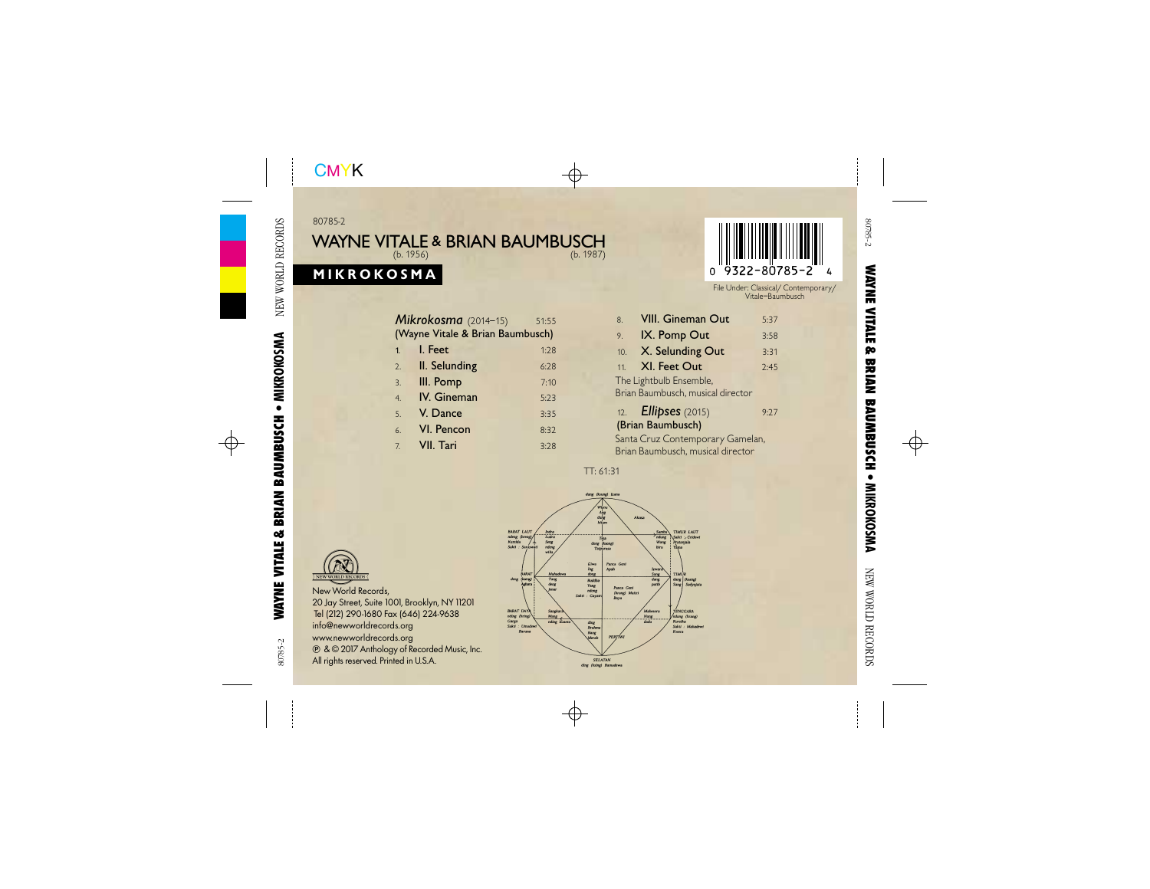#### 80785-2

# **WAYNE VITALE & BRIAN BAUMBUSCH** (b. 1956) (b. 1987)

# **MIKROKOSMA**



File Under: Classical/ Contemporary/ Vitale–Baumbusch

|                                  | Mikrokosma (2014-15) | 51:55 |  |  |  |  |  |  |
|----------------------------------|----------------------|-------|--|--|--|--|--|--|
| (Wayne Vitale & Brian Baumbusch) |                      |       |  |  |  |  |  |  |
| 1.                               | I. Feet              | 1:28  |  |  |  |  |  |  |
| 2.                               | II. Selunding        | 6:28  |  |  |  |  |  |  |
| 3.                               | III. Pomp            | 7:10  |  |  |  |  |  |  |
| $\overline{4}$                   | IV. Gineman          | 5:23  |  |  |  |  |  |  |
| 5.                               | V. Dance             | 3:35  |  |  |  |  |  |  |
| 6.                               | VI. Pencon           | 8:32  |  |  |  |  |  |  |
| 7.                               | VII. Tari            | 3.78  |  |  |  |  |  |  |

| <b>VIII. Gineman Out</b><br>8.    | 5:37 |  |  |  |  |  |  |
|-----------------------------------|------|--|--|--|--|--|--|
| IX. Pomp Out<br>9.                | 3:58 |  |  |  |  |  |  |
| X. Selunding Out<br>10.           | 3:31 |  |  |  |  |  |  |
| XI. Feet Out<br>11                | 2:45 |  |  |  |  |  |  |
| The Lightbulb Ensemble,           |      |  |  |  |  |  |  |
| Brian Baumbusch, musical director |      |  |  |  |  |  |  |
| 12. <b>Ellipses</b> (2015)        | 9.77 |  |  |  |  |  |  |
| (Brian Baumbusch)                 |      |  |  |  |  |  |  |
| Santa Cruz Contemporary Gamelan,  |      |  |  |  |  |  |  |
| Brian Baumbusch, musical director |      |  |  |  |  |  |  |

TT: 61:31





New World Records, 20 Jay Street, Suite 1001, Brooklyn, NY11201 Tel (212) 290-1680 Fax (646) 224-9638 info@newworldrecords.org www.newworldrecords.org - & © 2017 Anthology of Recorded Music, Inc. All rights reserved. Printed in U.S.A.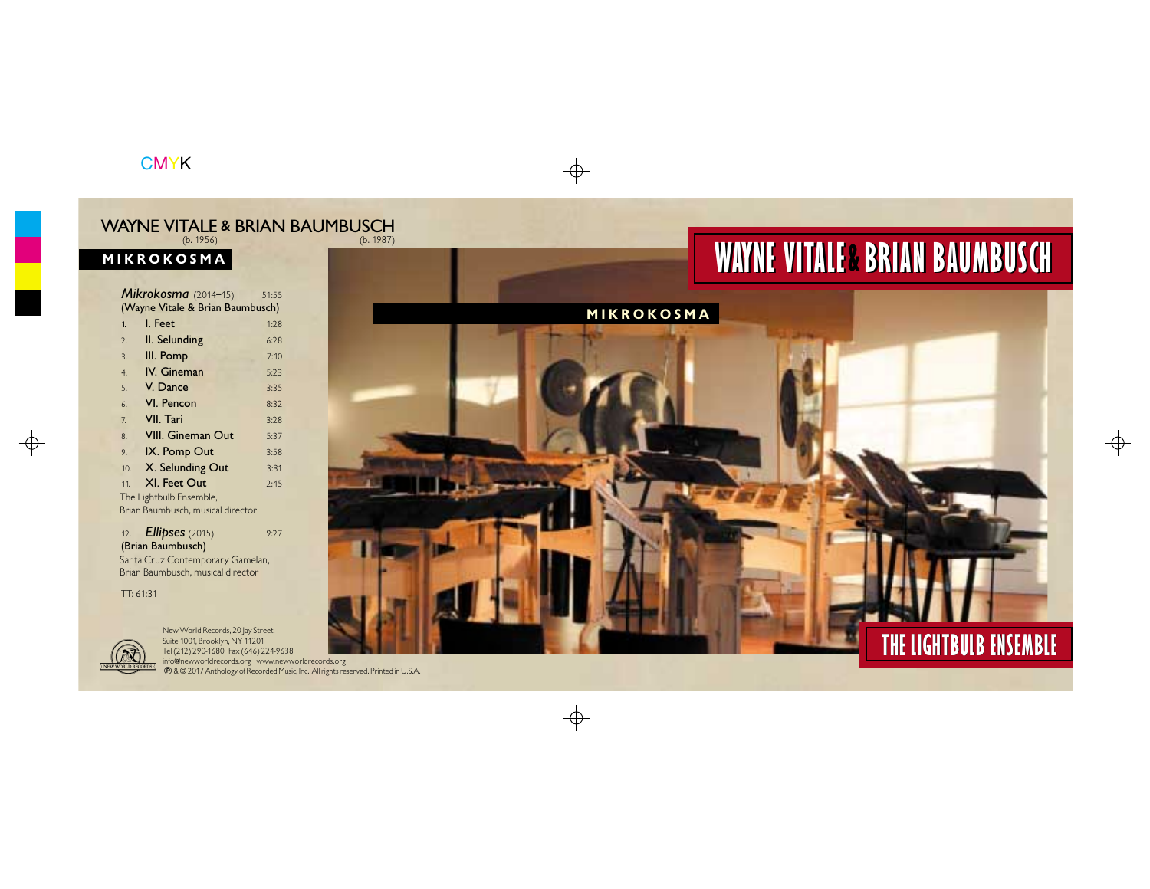# **WAYNE VITALE & BRIAN BAUMBUSCH**

# **MIKROKOSMA** (b. 1956) (b. 1987) WAYNE VITALE & BRIAN BAUMBUSCH

| $\overline{\text{YNNE}}$ vitale & Brian                               |              |
|-----------------------------------------------------------------------|--------------|
| <b>IKROKOSMA</b>                                                      |              |
|                                                                       |              |
| Mikrokosma (2014-15)                                                  | 51:55        |
| (Wayne Vitale & Brian Baumbusch)<br>I. Feet                           | 1:28         |
| $\overline{1}$                                                        |              |
| II. Selunding<br>2.                                                   | 6:28         |
| III. Pomp<br>3.<br>IV. Gineman<br>$\overline{4}$                      | 7:10<br>5:23 |
| V. Dance<br>5.                                                        | 3:35         |
| VI. Pencon<br>6.                                                      | 8:32         |
| <b>VII.</b> Tari<br>7.                                                | 3:28         |
| <b>VIII. Gineman Out</b><br>$\mathbf{R}$                              | 5:37         |
| IX. Pomp Out<br>9.                                                    | 3:58         |
| X. Selunding Out<br>10.                                               | 3:31         |
| XI. Feet Out<br>11.                                                   | 2:45         |
| The Lightbulb Ensemble,                                               |              |
| Brian Baumbusch, musical director                                     |              |
| Ellipses (2015)<br>12.<br>(Brian Baumbusch)                           | 9:27         |
| Santa Cruz Contemporary Gamelan,<br>Brian Baumbusch, musical director |              |
| TT: 61:31                                                             |              |

# TT: 61:31



New World Records, 20 Jay Street,<br>Tel(212) 290-1680 Fax (646) 224-9638<br>Tel(212) 290-1680 Fax (646) 224-9638 New Yorld Records, 20 Jay Street, Suite 1001, Brooklyn, NY 11201 Tel (212) 290-1680 Fax (646) 224-9638



**MIKROKOSMA**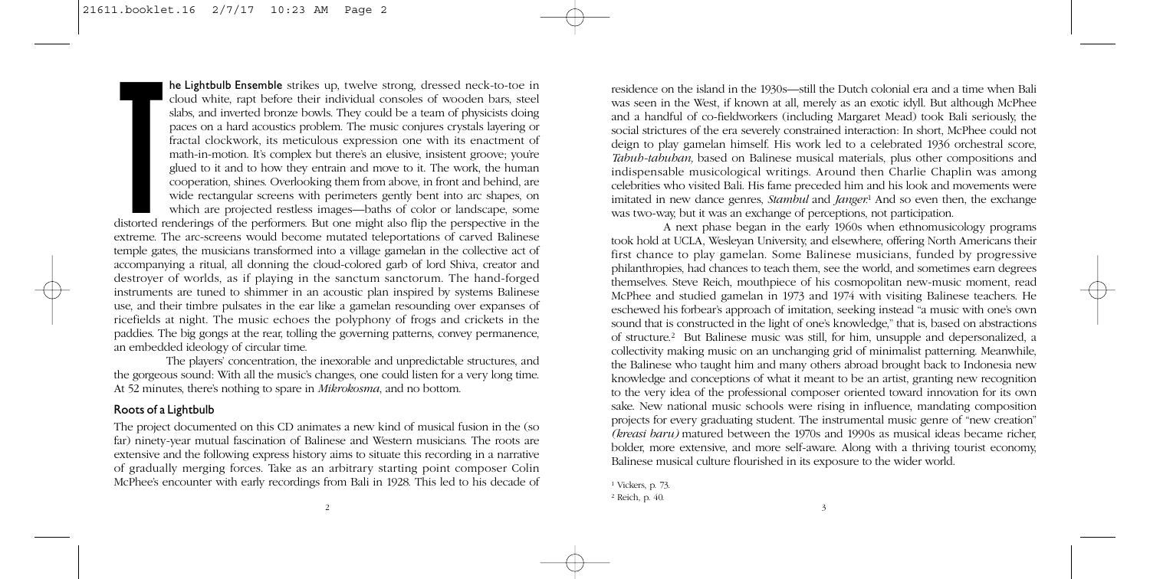**he Lightbulb Ensemble** strikes up, twelve strong, dressed neck-to-toe in cloud white, rapt before their individual consoles of wooden bars, steel slabs, and inverted bronze bowls. They could be a team of physicists doing paces on a hard acoustics problem. The music conjures crystals layering or fractal clockwork, its meticulous expression one with its enactment of math-in-motion. It's complex but there's an elusive, insistent groove; you're glued to it and to how they entrain and move to it. The work, the human cooperation, shines. Overlooking them from above, in front and behind, are wide rectangular screens with perimeters gently bent into arc shapes, on which are projected restless images—baths of color or landscape, some

**TERNATION**<br>Text<br>The Text<br>The Text distorted renderings of the performers. But one might also flip the perspective in the extreme. The arc-screens would become mutated teleportations of carved Balinese temple gates, the musicians transformed into a village gamelan in the collective act of accompanying a ritual, all donning the cloud-colored garb of lord Shiva, creator and destroyer of worlds, as if playing in the sanctum sanctorum. The hand-forged instruments are tuned to shimmer in an acoustic plan inspired by systems Balinese use, and their timbre pulsates in the ear like a gamelan resounding over expanses of ricefields at night. The music echoes the polyphony of frogs and crickets in the paddies. The big gongs at the rear, tolling the governing patterns, convey permanence, an embedded ideology of circular time.

The players' concentration, the inexorable and unpredictable structures, and the gorgeous sound: With all the music's changes, one could listen for a very long time. At 52 minutes, there's nothing to spare in *Mikrokosma*, and no bottom.

# **Roots of a Lightbulb**

The project documented on this CD animates a new kind of musical fusion in the (so far) ninety-year mutual fascination of Balinese and Western musicians. The roots are extensive and the following express history aims to situate this recording in a narrative of gradually merging forces. Take as an arbitrary starting point composer Colin McPhee's encounter with early recordings from Bali in 1928. This led to his decade of

residence on the island in the 1930s—still the Dutch colonial era and a time when Bali was seen in the West, if known at all, merely as an exotic idyll. But although McPhee and a handful of co-fieldworkers (including Margaret Mead) took Bali seriously, the social strictures of the era severely constrained interaction: In short, McPhee could not deign to play gamelan himself. His work led to a celebrated 1936 orchestral score, *Tabuh-tabuhan,* based on Balinese musical materials, plus other compositions and indispensable musicological writings. Around then Charlie Chaplin was among celebrities who visited Bali. His fame preceded him and his look and movements were imitated in new dance genres, *Stambul* and *Janger.*<sup>1</sup> And so even then, the exchange was two-way, but it was an exchange of perceptions, not participation.

A next phase began in the early 1960s when ethnomusicology programs took hold at UCLA, Wesleyan University, and elsewhere, offering North Americans their first chance to play gamelan. Some Balinese musicians, funded by progressive philanthropies, had chances to teach them, see the world, and sometimes earn degrees themselves. Steve Reich, mouthpiece of his cosmopolitan new-music moment, read McPhee and studied gamelan in 1973 and 1974 with visiting Balinese teachers. He eschewed his forbear's approach of imitation, seeking instead "a music with one's own sound that is constructed in the light of one's knowledge," that is, based on abstractions of structure.2 But Balinese music was still, for him, unsupple and depersonalized, a collectivity making music on an unchanging grid of minimalist patterning. Meanwhile, the Balinese who taught him and many others abroad brought back to Indonesia new knowledge and conceptions of what it meant to be an artist, granting new recognition to the very idea of the professional composer oriented toward innovation for its own sake. New national music schools were rising in influence, mandating composition projects for every graduating student. The instrumental music genre of "new creation" *(kreasi baru)* matured between the 1970s and 1990s as musical ideas became richer, bolder, more extensive, and more self-aware. Along with a thriving tourist economy, Balinese musical culture flourished in its exposure to the wider world.

<sup>1</sup> Vickers, p. 73. <sup>2</sup> Reich, p. 40.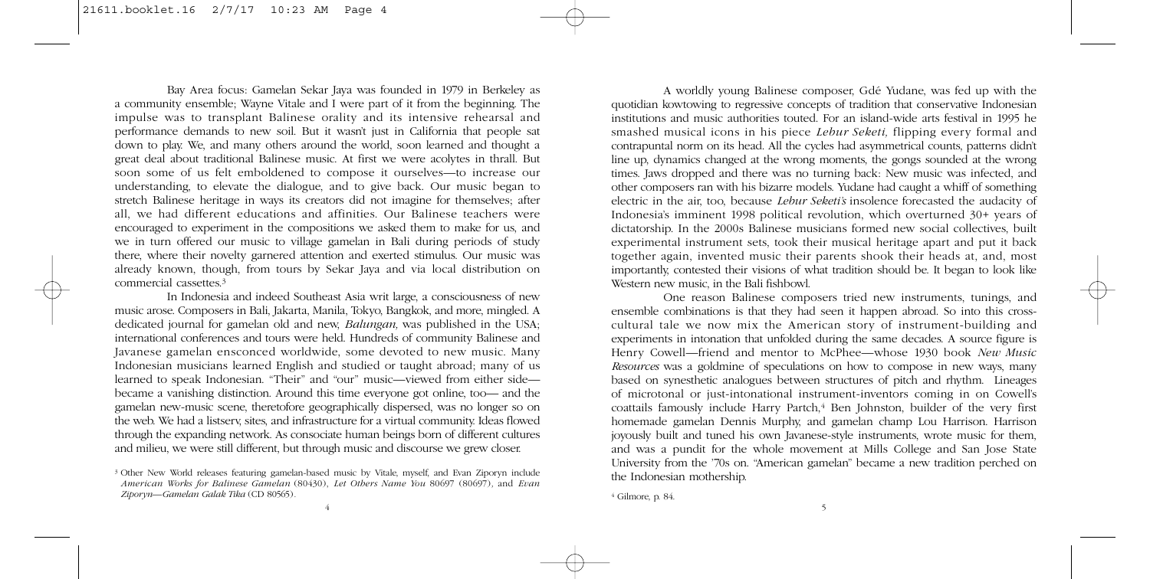Bay Area focus: Gamelan Sekar Jaya was founded in 1979 in Berkeley as a community ensemble; Wayne Vitale and I were part of it from the beginning. The impulse was to transplant Balinese orality and its intensive rehearsal and performance demands to new soil. But it wasn't just in California that people sat down to play. We, and many others around the world, soon learned and thought a great deal about traditional Balinese music. At first we were acolytes in thrall. But soon some of us felt emboldened to compose it ourselves—to increase our understanding, to elevate the dialogue, and to give back. Our music began to stretch Balinese heritage in ways its creators did not imagine for themselves; after all, we had different educations and affinities. Our Balinese teachers were encouraged to experiment in the compositions we asked them to make for us, and we in turn offered our music to village gamelan in Bali during periods of study there, where their novelty garnered attention and exerted stimulus. Our music was already known, though, from tours by Sekar Jaya and via local distribution on commercial cassettes.<sup>3</sup>

In Indonesia and indeed Southeast Asia writ large, a consciousness of new music arose. Composers in Bali, Jakarta, Manila, Tokyo, Bangkok, and more, mingled. A dedicated journal for gamelan old and new, *Balungan,* was published in the USA; international conferences and tours were held. Hundreds of community Balinese and Javanese gamelan ensconced worldwide, some devoted to new music. Many Indonesian musicians learned English and studied or taught abroad; many of us learned to speak Indonesian. "Their" and "our" music—viewed from either side became a vanishing distinction. Around this time everyone got online, too— and the gamelan new-music scene, theretofore geographically dispersed, was no longer so on the web. We had a listserv, sites, and infrastructure for a virtual community. Ideas flowed through the expanding network. As consociate human beings born of different cultures and milieu, we were still different, but through music and discourse we grew closer.

<sup>3</sup> Other New World releases featuring gamelan-based music by Vitale, myself, and Evan Ziporyn include *American Works for Balinese Gamelan* (80430), *Let Others Name You* 80697 (80697)*,* and *Evan Ziporyn—Gamelan Galak Tika* (CD 80565)*.*

A worldly young Balinese composer, Gdé Yudane, was fed up with the quotidian kowtowing to regressive concepts of tradition that conservative Indonesian institutions and music authorities touted. For an island-wide arts festival in 1995 he smashed musical icons in his piece *Lebur Seketi,* flipping every formal and contrapuntal norm on its head. All the cycles had asymmetrical counts, patterns didn't line up, dynamics changed at the wrong moments, the gongs sounded at the wrong times. Jaws dropped and there was no turning back: New music was infected, and other composers ran with his bizarre models. Yudane had caught a whiff of something electric in the air, too, because *Lebur Seketi's* insolence forecasted the audacity of Indonesia's imminent 1998 political revolution, which overturned 30+ years of dictatorship. In the 2000s Balinese musicians formed new social collectives, built experimental instrument sets, took their musical heritage apart and put it back together again, invented music their parents shook their heads at, and, most importantly, contested their visions of what tradition should be. It began to look like Western new music, in the Bali fishbowl.

One reason Balinese composers tried new instruments, tunings, and ensemble combinations is that they had seen it happen abroad. So into this crosscultural tale we now mix the American story of instrument-building and experiments in intonation that unfolded during the same decades. A source figure is Henry Cowell—friend and mentor to McPhee—whose 1930 book *New Music Resources* was a goldmine of speculations on how to compose in new ways, many based on synesthetic analogues between structures of pitch and rhythm. Lineages of microtonal or just-intonational instrument-inventors coming in on Cowell's coattails famously include Harry Partch,<sup>4</sup> Ben Johnston, builder of the very first homemade gamelan Dennis Murphy, and gamelan champ Lou Harrison. Harrison joyously built and tuned his own Javanese-style instruments, wrote music for them, and was a pundit for the whole movement at Mills College and San Jose State University from the '70s on. "American gamelan" became a new tradition perched on the Indonesian mothership.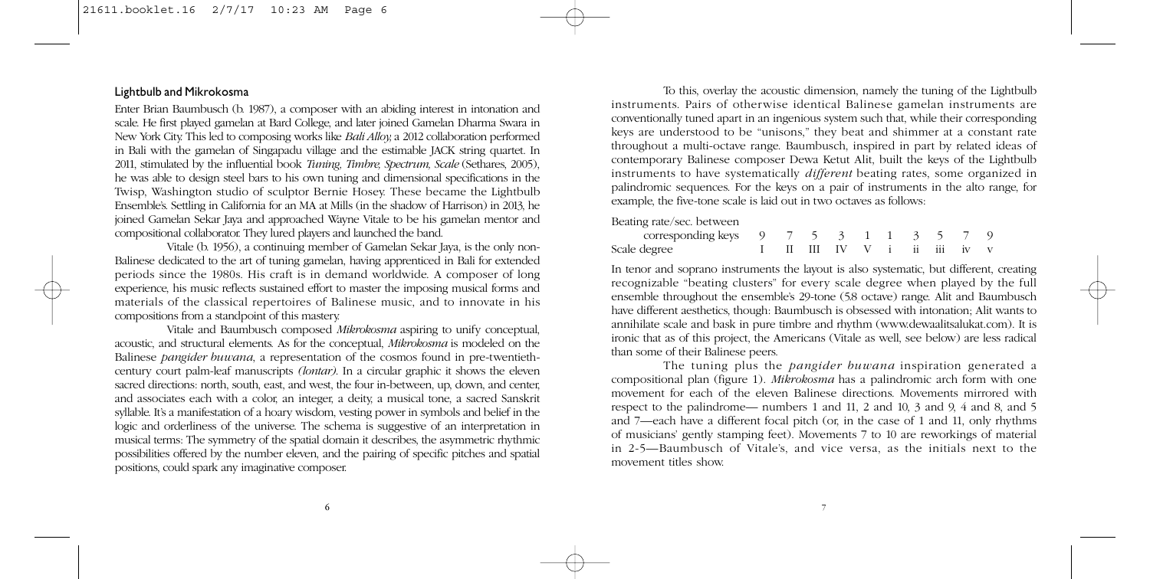# **Lightbulb and Mikrokosma**

Enter Brian Baumbusch (b. 1987), a composer with an abiding interest in intonation and scale. He first played gamelan at Bard College, and later joined Gamelan Dharma Swara in New York City. This led to composing works like *Bali Alloy,* a 2012 collaboration performed in Bali with the gamelan of Singapadu village and the estimable JACK string quartet. In 2011, stimulated by the influential book *Tuning, Timbre, Spectrum, Scale* (Sethares, 2005), he was able to design steel bars to his own tuning and dimensional specifications in the Twisp, Washington studio of sculptor Bernie Hosey. These became the Lightbulb Ensemble's. Settling in California for an MA at Mills (in the shadow of Harrison) in 2013, he joined Gamelan Sekar Jaya and approached Wayne Vitale to be his gamelan mentor and compositional collaborator. They lured players and launched the band.

Vitale (b. 1956), a continuing member of Gamelan Sekar Jaya, is the only non-Balinese dedicated to the art of tuning gamelan, having apprenticed in Bali for extended periods since the 1980s. His craft is in demand worldwide. A composer of long experience, his music reflects sustained effort to master the imposing musical forms and materials of the classical repertoires of Balinese music, and to innovate in his compositions from a standpoint of this mastery.

Vitale and Baumbusch composed *Mikrokosma* aspiring to unify conceptual, acoustic, and structural elements. As for the conceptual, *Mikrokosma* is modeled on the Balinese *pangider buwana*, a representation of the cosmos found in pre-twentiethcentury court palm-leaf manuscripts *(lontar)*. In a circular graphic it shows the eleven sacred directions: north, south, east, and west, the four in-between, up, down, and center, and associates each with a color, an integer, a deity, a musical tone, a sacred Sanskrit syllable. It's a manifestation of a hoary wisdom, vesting power in symbols and belief in the logic and orderliness of the universe. The schema is suggestive of an interpretation in musical terms: The symmetry of the spatial domain it describes, the asymmetric rhythmic possibilities offered by the number eleven, and the pairing of specific pitches and spatial positions, could spark any imaginative composer.

To this, overlay the acoustic dimension, namely the tuning of the Lightbulb instruments. Pairs of otherwise identical Balinese gamelan instruments are conventionally tuned apart in an ingenious system such that, while their corresponding keys are understood to be "unisons," they beat and shimmer at a constant rate throughout a multi-octave range. Baumbusch, inspired in part by related ideas of contemporary Balinese composer Dewa Ketut Alit, built the keys of the Lightbulb instruments to have systematically *different* beating rates, some organized in palindromic sequences. For the keys on a pair of instruments in the alto range, for example, the five-tone scale is laid out in two octaves as follows:

Beating rate/sec. between

| corresponding keys $9 \t 7 \t 5 \t 3 \t 1 \t 1 \t 3 \t 5 \t 7 \t 9$ |  |  |  |  |  |
|---------------------------------------------------------------------|--|--|--|--|--|
| Scale degree<br>I II III IV V i ii iii iv v                         |  |  |  |  |  |

In tenor and soprano instruments the layout is also systematic, but different, creating recognizable "beating clusters" for every scale degree when played by the full ensemble throughout the ensemble's 29-tone (5.8 octave) range. Alit and Baumbusch have different aesthetics, though: Baumbusch is obsessed with intonation; Alit wants to annihilate scale and bask in pure timbre and rhythm (www.dewaalitsalukat.com). It is ironic that as of this project, the Americans (Vitale as well, see below) are less radical than some of their Balinese peers.

The tuning plus the *pangider buwana* inspiration generated a compositional plan (figure 1). *Mikrokosma* has a palindromic arch form with one movement for each of the eleven Balinese directions. Movements mirrored with respect to the palindrome— numbers 1 and 11, 2 and 10, 3 and 9, 4 and 8, and 5 and 7—each have a different focal pitch (or, in the case of 1 and 11, only rhythms of musicians' gently stamping feet). Movements 7 to 10 are reworkings of material in 2-5—Baumbusch of Vitale's, and vice versa, as the initials next to the movement titles show.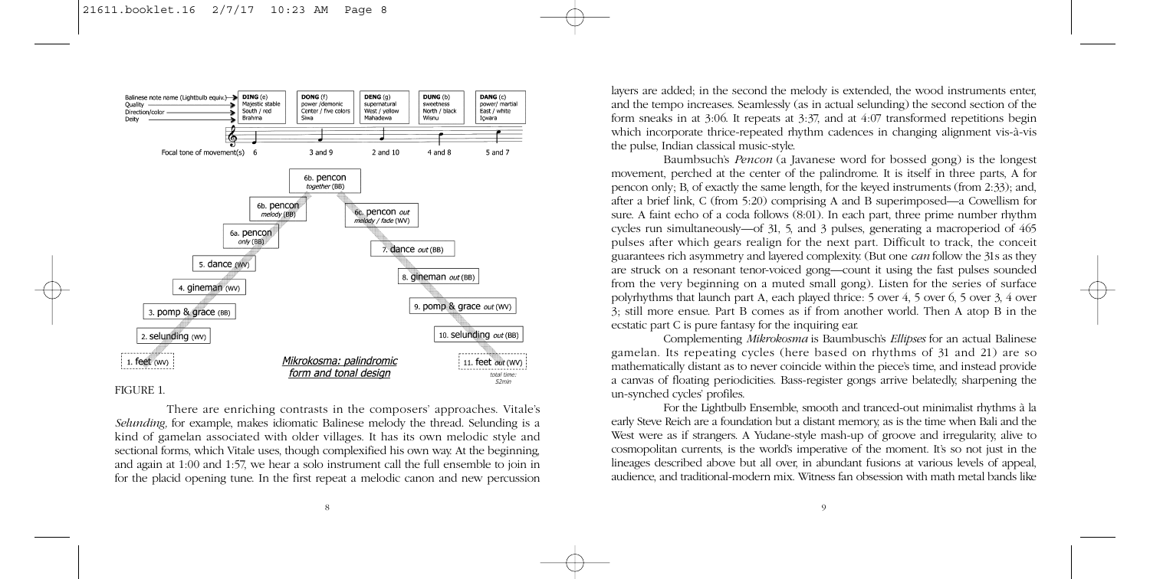

FIGURE 1

There are enriching contrasts in the composers' approaches. Vitale's *Selunding,* for example, makes idiomatic Balinese melody the thread. Selunding is a kind of gamelan associated with older villages. It has its own melodic style and sectional forms, which Vitale uses, though complexified his own way. At the beginning, and again at 1:00 and 1:57, we hear a solo instrument call the full ensemble to join in for the placid opening tune. In the first repeat a melodic canon and new percussion layers are added; in the second the melody is extended, the wood instruments enter, and the tempo increases. Seamlessly (as in actual selunding) the second section of the form sneaks in at 3:06. It repeats at 3:37, and at 4:07 transformed repetitions begin which incorporate thrice-repeated rhythm cadences in changing alignment vis-à-vis the pulse, Indian classical music-style.

Baumbsuch's *Pencon* (a Javanese word for bossed gong) is the longest movement, perched at the center of the palindrome. It is itself in three parts, A for pencon only; B, of exactly the same length, for the keyed instruments (from 2:33); and, after a brief link, C (from 5:20) comprising A and B superimposed—a Cowellism for sure. A faint echo of a coda follows (8:01). In each part, three prime number rhythm cycles run simultaneously—of 31, 5, and 3 pulses, generating a macroperiod of 465 pulses after which gears realign for the next part. Difficult to track, the conceit guarantees rich asymmetry and layered complexity. (But one *can* follow the 31s as they are struck on a resonant tenor-voiced gong—count it using the fast pulses sounded from the very beginning on a muted small gong). Listen for the series of surface polyrhythms that launch part A, each played thrice: 5 over 4, 5 over 6, 5 over 3, 4 over 3; still more ensue. Part B comes as if from another world. Then A atop B in the ecstatic part C is pure fantasy for the inquiring ear.

Complementing *Mikrokosma* is Baumbusch's *Ellipses* for an actual Balinese gamelan. Its repeating cycles (here based on rhythms of 31 and 21) are so mathematically distant as to never coincide within the piece's time, and instead provide a canvas of floating periodicities. Bass-register gongs arrive belatedly, sharpening the un-synched cycles' profiles.

For the Lightbulb Ensemble, smooth and tranced-out minimalist rhythms à la early Steve Reich are a foundation but a distant memory, as is the time when Bali and the West were as if strangers. A Yudane-style mash-up of groove and irregularity, alive to cosmopolitan currents, is the world's imperative of the moment. It's so not just in the lineages described above but all over, in abundant fusions at various levels of appeal, audience, and traditional-modern mix. Witness fan obsession with math metal bands like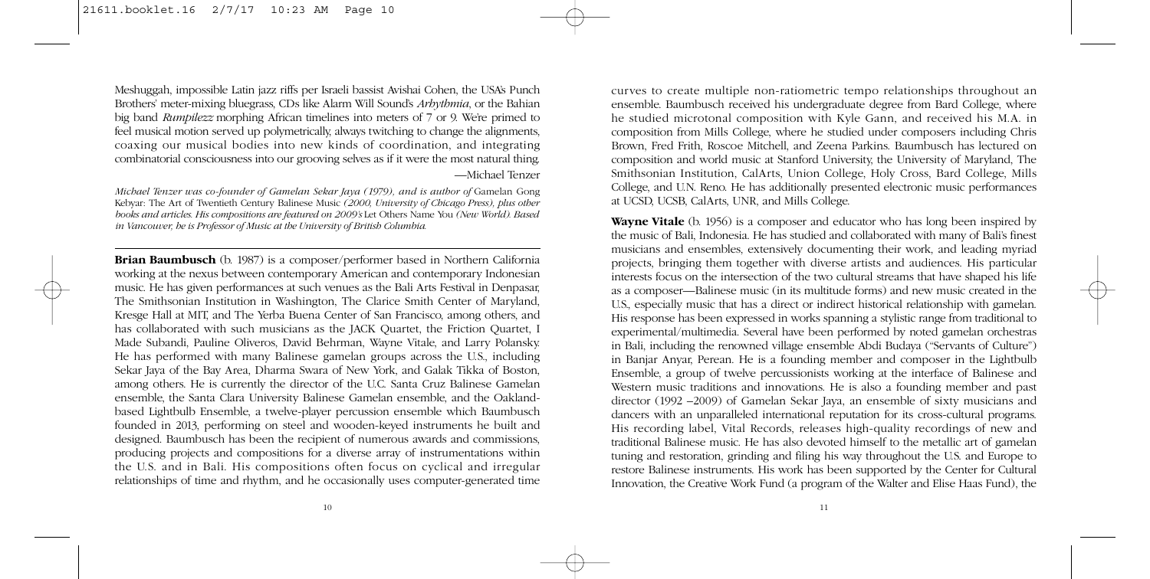Meshuggah, impossible Latin jazz riffs per Israeli bassist Avishai Cohen, the USA's Punch Brothers' meter-mixing bluegrass, CDs like Alarm Will Sound's *Arhythmia*, or the Bahian big band *Rumpilezz* morphing African timelines into meters of 7 or 9. We're primed to feel musical motion served up polymetrically, always twitching to change the alignments, coaxing our musical bodies into new kinds of coordination, and integrating combinatorial consciousness into our grooving selves as if it were the most natural thing. —Michael Tenzer

*Michael Tenzer was co-founder of Gamelan Sekar Jaya (1979), and is author of Gamelan Gong* Kebyar: The Art of Twentieth Century Balinese Music *(2000, University of Chicago Press), plus other books and articles. His compositions are featured on 2009's* Let Others Name You *(New World). Based in Vancouver, he is Professor of Music at the University of British Columbia.*

**Brian Baumbusch** (b. 1987) is a composer/performer based in Northern California working at the nexus between contemporary American and contemporary Indonesian music. He has given performances at such venues as the Bali Arts Festival in Denpasar, The Smithsonian Institution in Washington, The Clarice Smith Center of Maryland, Kresge Hall at MIT, and The Yerba Buena Center of San Francisco, among others, and has collaborated with such musicians as the JACK Quartet, the Friction Quartet, I Made Subandi, Pauline Oliveros, David Behrman, Wayne Vitale, and Larry Polansky. He has performed with many Balinese gamelan groups across the U.S., including Sekar Jaya of the Bay Area, Dharma Swara of New York, and Galak Tikka of Boston, among others. He is currently the director of the U.C. Santa Cruz Balinese Gamelan ensemble, the Santa Clara University Balinese Gamelan ensemble, and the Oaklandbased Lightbulb Ensemble, a twelve-player percussion ensemble which Baumbusch founded in 2013, performing on steel and wooden-keyed instruments he built and designed. Baumbusch has been the recipient of numerous awards and commissions, producing projects and compositions for a diverse array of instrumentations within the U.S. and in Bali. His compositions often focus on cyclical and irregular relationships of time and rhythm, and he occasionally uses computer-generated time

curves to create multiple non-ratiometric tempo relationships throughout an ensemble. Baumbusch received his undergraduate degree from Bard College, where he studied microtonal composition with Kyle Gann, and received his M.A. in composition from Mills College, where he studied under composers including Chris Brown, Fred Frith, Roscoe Mitchell, and Zeena Parkins. Baumbusch has lectured on composition and world music at Stanford University, the University of Maryland, The Smithsonian Institution, CalArts, Union College, Holy Cross, Bard College, Mills College, and U.N. Reno. He has additionally presented electronic music performances at UCSD, UCSB, CalArts, UNR, and Mills College.

**Wayne Vitale** (b. 1956) is a composer and educator who has long been inspired by the music of Bali, Indonesia. He has studied and collaborated with many of Bali's finest musicians and ensembles, extensively documenting their work, and leading myriad projects, bringing them together with diverse artists and audiences. His particular interests focus on the intersection of the two cultural streams that have shaped his life as a composer—Balinese music (in its multitude forms) and new music created in the U.S., especially music that has a direct or indirect historical relationship with gamelan. His response has been expressed in works spanning a stylistic range from traditional to experimental/multimedia. Several have been performed by noted gamelan orchestras in Bali, including the renowned village ensemble Abdi Budaya ("Servants of Culture") in Banjar Anyar, Perean. He is a founding member and composer in the Lightbulb Ensemble, a group of twelve percussionists working at the interface of Balinese and Western music traditions and innovations. He is also a founding member and past director (1992 –2009) of Gamelan Sekar Jaya, an ensemble of sixty musicians and dancers with an unparalleled international reputation for its cross-cultural programs. His recording label, Vital Records, releases high-quality recordings of new and traditional Balinese music. He has also devoted himself to the metallic art of gamelan tuning and restoration, grinding and filing his way throughout the U.S. and Europe to restore Balinese instruments. His work has been supported by the Center for Cultural Innovation, the Creative Work Fund (a program of the Walter and Elise Haas Fund), the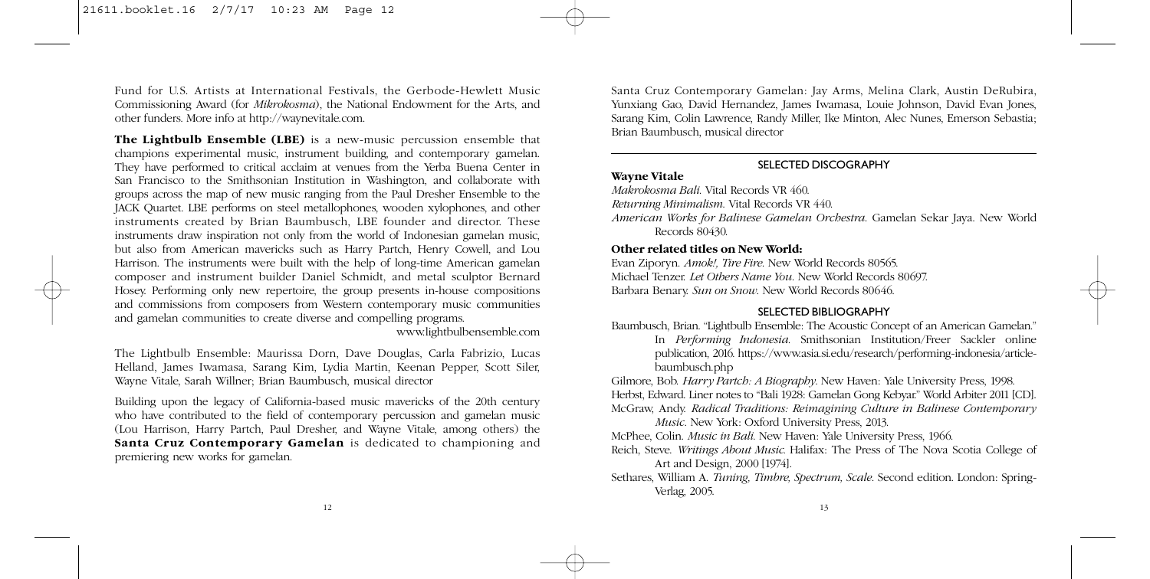Fund for U.S. Artists at International Festivals, the Gerbode-Hewlett Music Commissioning Award (for *Mikrokosma*), the National Endowment for the Arts, and other funders. More info at http://waynevitale.com.

**The Lightbulb Ensemble (LBE)** is a new-music percussion ensemble that champions experimental music, instrument building, and contemporary gamelan. They have performed to critical acclaim at venues from the Yerba Buena Center in San Francisco to the Smithsonian Institution in Washington, and collaborate with groups across the map of new music ranging from the Paul Dresher Ensemble to the JACK Quartet. LBE performs on steel metallophones, wooden xylophones, and other instruments created by Brian Baumbusch, LBE founder and director. These instruments draw inspiration not only from the world of Indonesian gamelan music, but also from American mavericks such as Harry Partch, Henry Cowell, and Lou Harrison. The instruments were built with the help of long-time American gamelan composer and instrument builder Daniel Schmidt, and metal sculptor Bernard Hosey. Performing only new repertoire, the group presents in-house compositions and commissions from composers from Western contemporary music communities and gamelan communities to create diverse and compelling programs.

www.lightbulbensemble.com

The Lightbulb Ensemble: Maurissa Dorn, Dave Douglas, Carla Fabrizio, Lucas Helland, James Iwamasa, Sarang Kim, Lydia Martin, Keenan Pepper, Scott Siler, Wayne Vitale, Sarah Willner; Brian Baumbusch, musical director

Building upon the legacy of California-based music mavericks of the 20th century who have contributed to the field of contemporary percussion and gamelan music (Lou Harrison, Harry Partch, Paul Dresher, and Wayne Vitale, among others) the **Santa Cruz Contemporary Gamelan** is dedicated to championing and premiering new works for gamelan.

Santa Cruz Contemporary Gamelan: Jay Arms, Melina Clark, Austin DeRubira, Yunxiang Gao, David Hernandez, James Iwamasa, Louie Johnson, David Evan Jones, Sarang Kim, Colin Lawrence, Randy Miller, Ike Minton, Alec Nunes, Emerson Sebastia; Brian Baumbusch, musical director

# **SELECTED DISCOGRAPHY**

# **Wayne Vitale**

*Makrokosma Bali*. Vital Records VR 460.

*Returning Minimalism*. Vital Records VR 440.

*American Works for Balinese Gamelan Orchestra*. Gamelan Sekar Jaya. New World Records 80430.

### **Other related titles on New World:**

Evan Ziporyn. *Amok!, Tire Fire*. New World Records 80565. Michael Tenzer. *Let Others Name You*. New World Records 80697. Barbara Benary. *Sun on Snow*. New World Records 80646.

# **SELECTED BIBLIOGRAPHY**

Baumbusch, Brian. "Lightbulb Ensemble: The Acoustic Concept of an American Gamelan." In *Performing Indonesia*. Smithsonian Institution/Freer Sackler online publication, 2016. https://www.asia.si.edu/research/performing-indonesia/articlebaumbusch.php

Gilmore, Bob. *Harry Partch: A Biography*. New Haven: Yale University Press, 1998.

Herbst, Edward. Liner notes to "Bali 1928: Gamelan Gong Kebyar." World Arbiter 2011 [CD].

McGraw, Andy. *Radical Traditions: Reimagining Culture in Balinese Contemporary Music*. New York: Oxford University Press, 2013.

McPhee, Colin. *Music in Bali*. New Haven: Yale University Press, 1966.

Reich, Steve. *Writings About Music.* Halifax: The Press of The Nova Scotia College of Art and Design, 2000 [1974].

Sethares, William A. *Tuning, Timbre, Spectrum, Scale*. Second edition. London: Spring-Verlag, 2005.